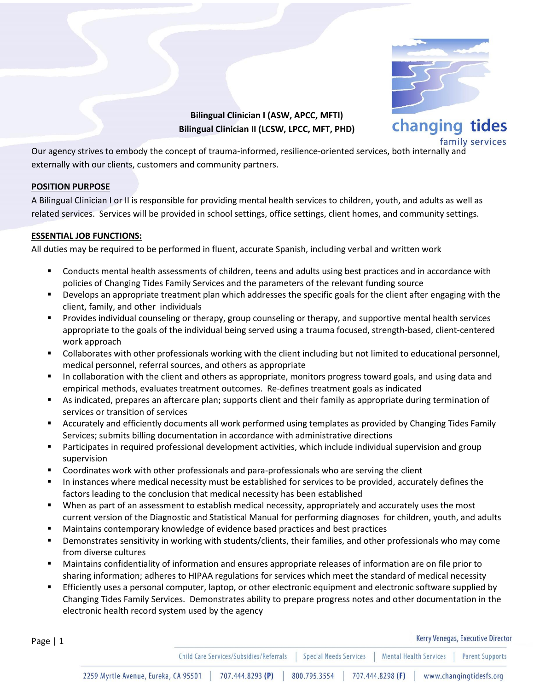

**Bilingual Clinician I (ASW, APCC, MFTI) Bilingual Clinician II (LCSW, LPCC, MFT, PHD)**

family services

Our agency strives to embody the concept of trauma-informed, resilience-oriented services, both internally and externally with our clients, customers and community partners.

## **POSITION PURPOSE**

Page | 1

A Bilingual Clinician I or II is responsible for providing mental health services to children, youth, and adults as well as related services. Services will be provided in school settings, office settings, client homes, and community settings.

## **ESSENTIAL JOB FUNCTIONS:**

All duties may be required to be performed in fluent, accurate Spanish, including verbal and written work

- Conducts mental health assessments of children, teens and adults using best practices and in accordance with policies of Changing Tides Family Services and the parameters of the relevant funding source
- Develops an appropriate treatment plan which addresses the specific goals for the client after engaging with the client, family, and other individuals
- Provides individual counseling or therapy, group counseling or therapy, and supportive mental health services appropriate to the goals of the individual being served using a trauma focused, strength-based, client-centered work approach
- Collaborates with other professionals working with the client including but not limited to educational personnel, medical personnel, referral sources, and others as appropriate
- In collaboration with the client and others as appropriate, monitors progress toward goals, and using data and empirical methods, evaluates treatment outcomes. Re-defines treatment goals as indicated
- As indicated, prepares an aftercare plan; supports client and their family as appropriate during termination of services or transition of services
- Accurately and efficiently documents all work performed using templates as provided by Changing Tides Family Services; submits billing documentation in accordance with administrative directions
- Participates in required professional development activities, which include individual supervision and group supervision
- Coordinates work with other professionals and para-professionals who are serving the client
- In instances where medical necessity must be established for services to be provided, accurately defines the factors leading to the conclusion that medical necessity has been established
- When as part of an assessment to establish medical necessity, appropriately and accurately uses the most current version of the Diagnostic and Statistical Manual for performing diagnoses for children, youth, and adults
- Maintains contemporary knowledge of evidence based practices and best practices
- Demonstrates sensitivity in working with students/clients, their families, and other professionals who may come from diverse cultures
- Maintains confidentiality of information and ensures appropriate releases of information are on file prior to sharing information; adheres to HIPAA regulations for services which meet the standard of medical necessity
- Efficiently uses a personal computer, laptop, or other electronic equipment and electronic software supplied by Changing Tides Family Services. Demonstrates ability to prepare progress notes and other documentation in the electronic health record system used by the agency

Kerry Venegas, Executive Director